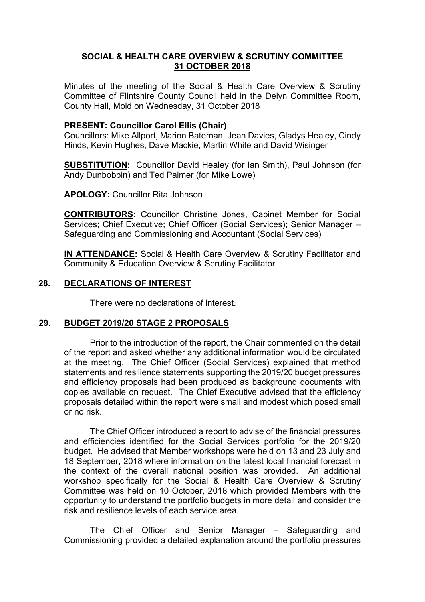# **SOCIAL & HEALTH CARE OVERVIEW & SCRUTINY COMMITTEE 31 OCTOBER 2018**

Minutes of the meeting of the Social & Health Care Overview & Scrutiny Committee of Flintshire County Council held in the Delyn Committee Room, County Hall, Mold on Wednesday, 31 October 2018

# **PRESENT: Councillor Carol Ellis (Chair)**

Councillors: Mike Allport, Marion Bateman, Jean Davies, Gladys Healey, Cindy Hinds, Kevin Hughes, Dave Mackie, Martin White and David Wisinger

**SUBSTITUTION:** Councillor David Healey (for Ian Smith), Paul Johnson (for Andy Dunbobbin) and Ted Palmer (for Mike Lowe)

**APOLOGY:** Councillor Rita Johnson

**CONTRIBUTORS:** Councillor Christine Jones, Cabinet Member for Social Services; Chief Executive; Chief Officer (Social Services); Senior Manager – Safeguarding and Commissioning and Accountant (Social Services)

**IN ATTENDANCE:** Social & Health Care Overview & Scrutiny Facilitator and Community & Education Overview & Scrutiny Facilitator

## **28. DECLARATIONS OF INTEREST**

There were no declarations of interest.

## **29. BUDGET 2019/20 STAGE 2 PROPOSALS**

Prior to the introduction of the report, the Chair commented on the detail of the report and asked whether any additional information would be circulated at the meeting. The Chief Officer (Social Services) explained that method statements and resilience statements supporting the 2019/20 budget pressures and efficiency proposals had been produced as background documents with copies available on request. The Chief Executive advised that the efficiency proposals detailed within the report were small and modest which posed small or no risk.

The Chief Officer introduced a report to advise of the financial pressures and efficiencies identified for the Social Services portfolio for the 2019/20 budget. He advised that Member workshops were held on 13 and 23 July and 18 September, 2018 where information on the latest local financial forecast in the context of the overall national position was provided. An additional workshop specifically for the Social & Health Care Overview & Scrutiny Committee was held on 10 October, 2018 which provided Members with the opportunity to understand the portfolio budgets in more detail and consider the risk and resilience levels of each service area.

The Chief Officer and Senior Manager – Safeguarding and Commissioning provided a detailed explanation around the portfolio pressures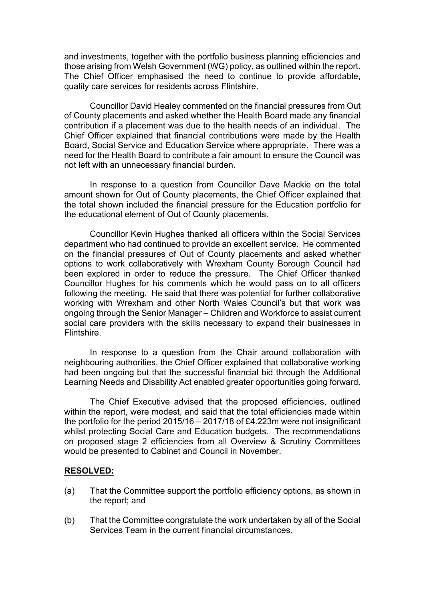and investments, together with the portfolio business planning efficiencies and those arising from Welsh Government (WG) policy, as outlined within the report. The Chief Officer emphasised the need to continue to provide affordable, quality care services for residents across Flintshire.

Councillor David Healey commented on the financial pressures from Out of County placements and asked whether the Health Board made any financial contribution if a placement was due to the health needs of an individual. The Chief Officer explained that financial contributions were made by the Health Board, Social Service and Education Service where appropriate. There was a need for the Health Board to contribute a fair amount to ensure the Council was not left with an unnecessary financial burden.

In response to a question from Councillor Dave Mackie on the total amount shown for Out of County placements, the Chief Officer explained that the total shown included the financial pressure for the Education portfolio for the educational element of Out of County placements.

Councillor Kevin Hughes thanked all officers within the Social Services department who had continued to provide an excellent service. He commented on the financial pressures of Out of County placements and asked whether options to work collaboratively with Wrexham County Borough Council had been explored in order to reduce the pressure. The Chief Officer thanked Councillor Hughes for his comments which he would pass on to all officers following the meeting. He said that there was potential for further collaborative working with Wrexham and other North Wales Council's but that work was ongoing through the Senior Manager – Children and Workforce to assist current social care providers with the skills necessary to expand their businesses in Flintshire.

In response to a question from the Chair around collaboration with neighbouring authorities, the Chief Officer explained that collaborative working had been ongoing but that the successful financial bid through the Additional Learning Needs and Disability Act enabled greater opportunities going forward.

The Chief Executive advised that the proposed efficiencies, outlined within the report, were modest, and said that the total efficiencies made within the portfolio for the period 2015/16 – 2017/18 of £4.223m were not insignificant whilst protecting Social Care and Education budgets. The recommendations on proposed stage 2 efficiencies from all Overview & Scrutiny Committees would be presented to Cabinet and Council in November.

#### **RESOLVED:**

- (a) That the Committee support the portfolio efficiency options, as shown in the report; and
- (b) That the Committee congratulate the work undertaken by all of the Social Services Team in the current financial circumstances.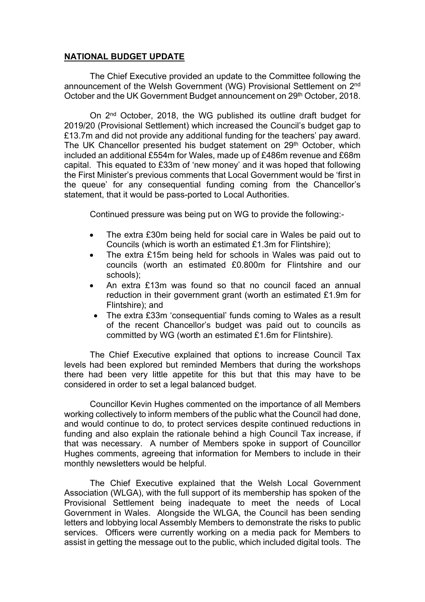# **NATIONAL BUDGET UPDATE**

The Chief Executive provided an update to the Committee following the announcement of the Welsh Government (WG) Provisional Settlement on 2<sup>nd</sup> October and the UK Government Budget announcement on 29th October, 2018.

On 2<sup>nd</sup> October, 2018, the WG published its outline draft budget for 2019/20 (Provisional Settlement) which increased the Council's budget gap to £13.7m and did not provide any additional funding for the teachers' pay award. The UK Chancellor presented his budget statement on 29<sup>th</sup> October, which included an additional £554m for Wales, made up of £486m revenue and £68m capital. This equated to £33m of 'new money' and it was hoped that following the First Minister's previous comments that Local Government would be 'first in the queue' for any consequential funding coming from the Chancellor's statement, that it would be pass-ported to Local Authorities.

Continued pressure was being put on WG to provide the following:-

- The extra £30m being held for social care in Wales be paid out to Councils (which is worth an estimated £1.3m for Flintshire);
- The extra £15m being held for schools in Wales was paid out to councils (worth an estimated £0.800m for Flintshire and our schools);
- An extra £13m was found so that no council faced an annual reduction in their government grant (worth an estimated £1.9m for Flintshire); and
- The extra £33m 'consequential' funds coming to Wales as a result of the recent Chancellor's budget was paid out to councils as committed by WG (worth an estimated £1.6m for Flintshire).

The Chief Executive explained that options to increase Council Tax levels had been explored but reminded Members that during the workshops there had been very little appetite for this but that this may have to be considered in order to set a legal balanced budget.

Councillor Kevin Hughes commented on the importance of all Members working collectively to inform members of the public what the Council had done, and would continue to do, to protect services despite continued reductions in funding and also explain the rationale behind a high Council Tax increase, if that was necessary. A number of Members spoke in support of Councillor Hughes comments, agreeing that information for Members to include in their monthly newsletters would be helpful.

The Chief Executive explained that the Welsh Local Government Association (WLGA), with the full support of its membership has spoken of the Provisional Settlement being inadequate to meet the needs of Local Government in Wales. Alongside the WLGA, the Council has been sending letters and lobbying local Assembly Members to demonstrate the risks to public services. Officers were currently working on a media pack for Members to assist in getting the message out to the public, which included digital tools. The